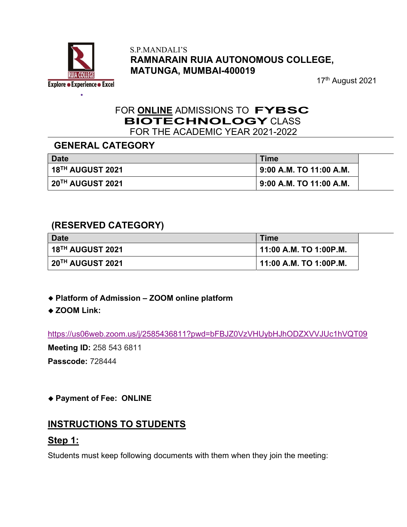

#### S.P.MANDALI'S RAMNARAIN RUIA AUTONOMOUS COLLEGE, MATUNGA, MUMBAI-400019

17<sup>th</sup> August 2021

#### FOR ONLINE ADMISSIONS TO FYBSC BIOTECHNOLOGY CLASS FOR THE ACADEMIC YEAR 2021-2022

#### GENERAL CATEGORY

| <b>Date</b>       | <b>Time</b>                           |
|-------------------|---------------------------------------|
| ∣ 18™ AUGUST 2021 | 9:00 A.M. TO 11:00 A.M.               |
| 20TH AUGUST 2021  | $\frac{1}{2}$ 9:00 A.M. TO 11:00 A.M. |

#### (RESERVED CATEGORY)

| Date                                        | <b>Time</b>            |  |
|---------------------------------------------|------------------------|--|
| $\mid$ 18 $^{\text{\tiny{TH}}}$ AUGUST 2021 | 11:00 A.M. TO 1:00P.M. |  |
| ∣ 20™ AUGUST 2021                           | 11:00 A.M. TO 1:00P.M. |  |

- Platform of Admission ZOOM online platform
- ◆ ZOOM Link:

https://us06web.zoom.us/j/2585436811?pwd=bFBJZ0VzVHUybHJhODZXVVJUc1hVQT09

Meeting ID: 258 543 6811

Passcode: 728444

#### Payment of Fee: ONLINE

### INSTRUCTIONS TO STUDENTS

### Step 1:

Students must keep following documents with them when they join the meeting: